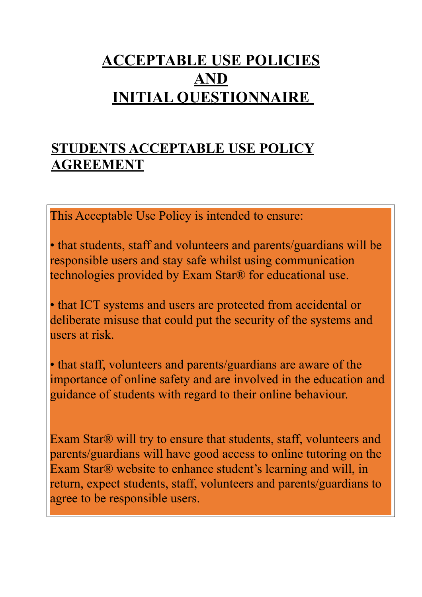## **ACCEPTABLE USE POLICIES AND INITIAL QUESTIONNAIRE**

## **STUDENTS ACCEPTABLE USE POLICY AGREEMENT**

This Acceptable Use Policy is intended to ensure:

• that students, staff and volunteers and parents/guardians will be responsible users and stay safe whilst using communication technologies provided by Exam Star® for educational use.

• that ICT systems and users are protected from accidental or deliberate misuse that could put the security of the systems and users at risk.

. importance of online safety and are involved in the education and  guidance of students with regard to their online behaviour. • that staff, volunteers and parents/guardians are aware of the

Exam Star® will try to ensure that students, staff, volunteers and parents/guardians will have good access to online tutoring on the Exam Star® website to enhance student's learning and will, in return, expect students, staff, volunteers and parents/guardians to agree to be responsible users.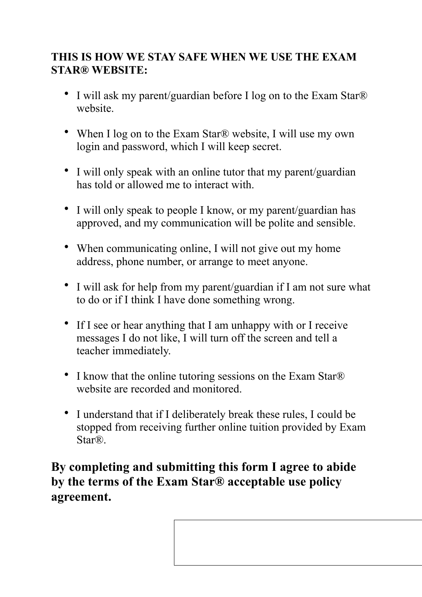#### **THIS IS HOW WE STAY SAFE WHEN WE USE THE EXAM STAR® WEBSITE:**

- I will ask my parent/guardian before I log on to the Exam Star<sup>®</sup> website.
- When I log on to the Exam Star® website, I will use my own login and password, which I will keep secret.
- I will only speak with an online tutor that my parent/guardian has told or allowed me to interact with.
- I will only speak to people I know, or my parent/guardian has approved, and my communication will be polite and sensible.
- When communicating online, I will not give out my home address, phone number, or arrange to meet anyone.
- I will ask for help from my parent/guardian if I am not sure what to do or if I think I have done something wrong.
- If I see or hear anything that I am unhappy with or I receive messages I do not like, I will turn off the screen and tell a teacher immediately.
- I know that the online tutoring sessions on the Exam Star® website are recorded and monitored.
- I understand that if I deliberately break these rules, I could be stopped from receiving further online tuition provided by Exam Star®.

**By completing and submitting this form I agree to abide by the terms of the Exam Star® acceptable use policy agreement.**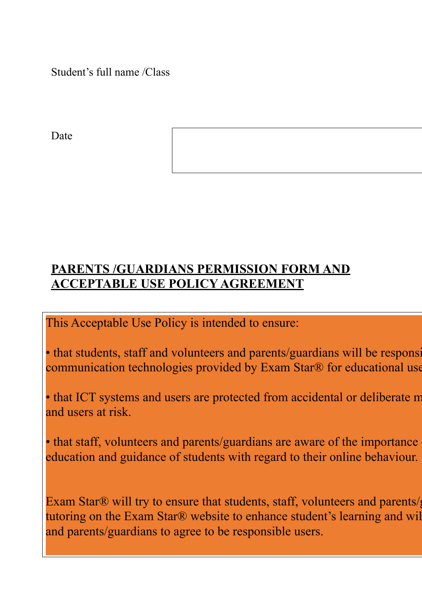Student's full name /Class

Date

### **PARENTS /GUARDIANS PERMISSION FORM AND ACCEPTABLE USE POLICY AGREEMENT**

This Acceptable Use Policy is intended to ensure:

• that students, staff and volunteers and parents/guardians will be responsicommunication technologies provided by Exam Star® for educational use.

• that ICT systems and users are protected from accidental or deliberate m and users at risk.

• that staff, volunteers and parents/guardians are aware of the importance education and guidance of students with regard to their online behaviour.

Exam Star® will try to ensure that students, staff, volunteers and parents/guardians will have good access to online good access to online good access to online good access to online good access to online good access to on tutoring on the Exam Star® website to enhance student's learning and will and parents/guardians to agree to be responsible users.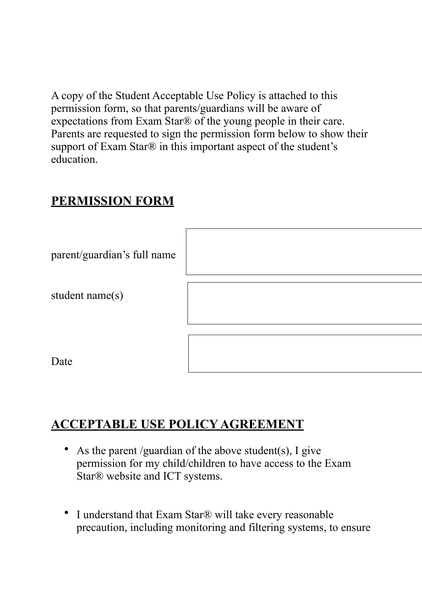A copy of the Student Acceptable Use Policy is attached to this permission form, so that parents/guardians will be aware of expectations from Exam Star® of the young people in their care. Parents are requested to sign the permission form below to show their support of Exam Star® in this important aspect of the student's education.

#### **PERMISSION FORM**

| parent/guardian's full name |  |
|-----------------------------|--|
| student name(s)             |  |
|                             |  |
| Date                        |  |

### **ACCEPTABLE USE POLICY AGREEMENT**

- As the parent /guardian of the above student(s), I give permission for my child/children to have access to the Exam Star® website and ICT systems.
- I understand that Exam Star® will take every reasonable precaution, including monitoring and filtering systems, to ensure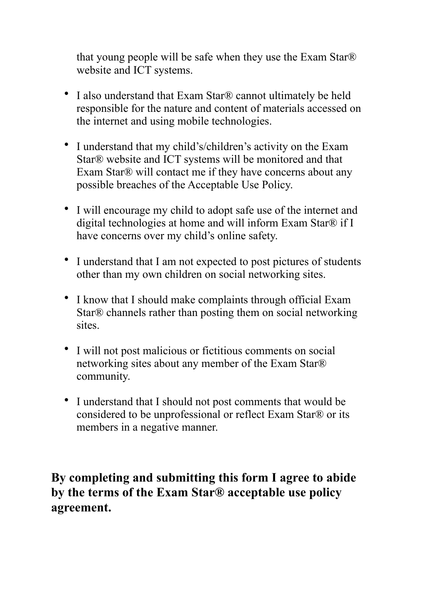that young people will be safe when they use the Exam Star® website and ICT systems.

- I also understand that Exam Star® cannot ultimately be held responsible for the nature and content of materials accessed on the internet and using mobile technologies.
- I understand that my child's/children's activity on the Exam Star® website and ICT systems will be monitored and that Exam Star® will contact me if they have concerns about any possible breaches of the Acceptable Use Policy.
- I will encourage my child to adopt safe use of the internet and digital technologies at home and will inform Exam Star® if I have concerns over my child's online safety.
- I understand that I am not expected to post pictures of students other than my own children on social networking sites.
- I know that I should make complaints through official Exam Star® channels rather than posting them on social networking sites.
- I will not post malicious or fictitious comments on social networking sites about any member of the Exam Star® community.
- I understand that I should not post comments that would be considered to be unprofessional or reflect Exam Star® or its members in a negative manner.

**By completing and submitting this form I agree to abide by the terms of the Exam Star® acceptable use policy agreement.**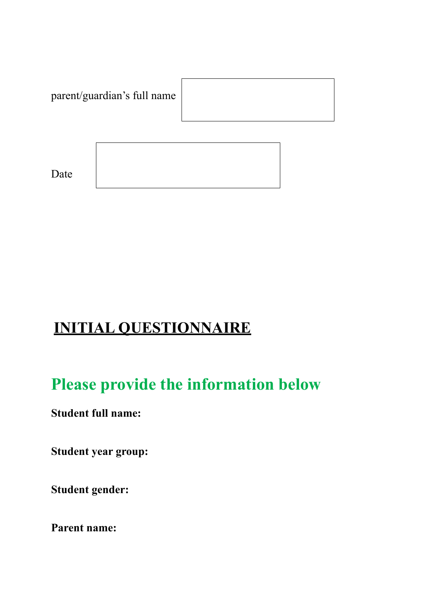

## **INITIAL QUESTIONNAIRE**

# **Please provide the information below**

**Student full name:** 

**Student year group:** 

**Student gender:** 

**Parent name:**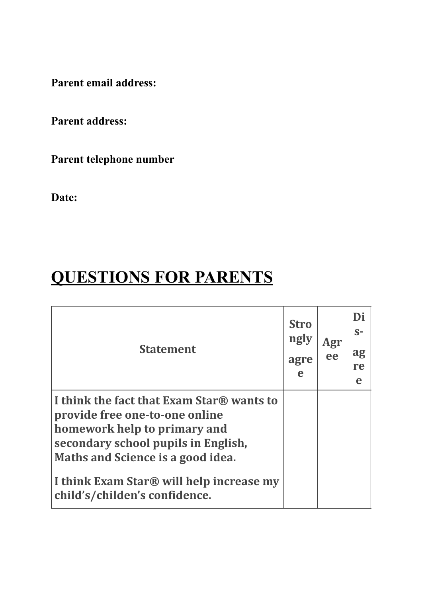**Parent email address:** 

**Parent address:** 

**Parent telephone number** 

**Date:** 

# **QUESTIONS FOR PARENTS**

| <b>Statement</b>                                                                                                                                                                        | <b>Stro</b><br>ngly<br>agre<br>e | Agr<br>ee | Di<br>$S-$<br>ag<br>re<br>e |
|-----------------------------------------------------------------------------------------------------------------------------------------------------------------------------------------|----------------------------------|-----------|-----------------------------|
| I think the fact that Exam Star® wants to<br>provide free one-to-one online<br>homework help to primary and<br>secondary school pupils in English,<br>Maths and Science is a good idea. |                                  |           |                             |
| I think Exam Star® will help increase my<br>child's/childen's confidence.                                                                                                               |                                  |           |                             |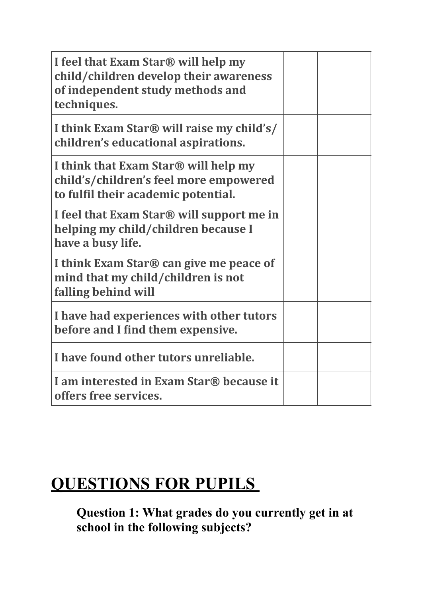| I feel that Exam Star® will help my<br>child/children develop their awareness<br>of independent study methods and<br>techniques. |  |  |
|----------------------------------------------------------------------------------------------------------------------------------|--|--|
| I think Exam Star® will raise my child's/<br>children's educational aspirations.                                                 |  |  |
| I think that Exam Star® will help my<br>child's/children's feel more empowered<br>to fulfil their academic potential.            |  |  |
| I feel that Exam Star <sup>®</sup> will support me in<br>helping my child/children because I<br>have a busy life.                |  |  |
| I think Exam Star® can give me peace of<br>mind that my child/children is not<br>falling behind will                             |  |  |
| I have had experiences with other tutors<br>before and I find them expensive.                                                    |  |  |
| I have found other tutors unreliable.                                                                                            |  |  |
| I am interested in Exam Star® because it<br>offers free services.                                                                |  |  |

# **QUESTIONS FOR PUPILS**

**Question 1: What grades do you currently get in at school in the following subjects?**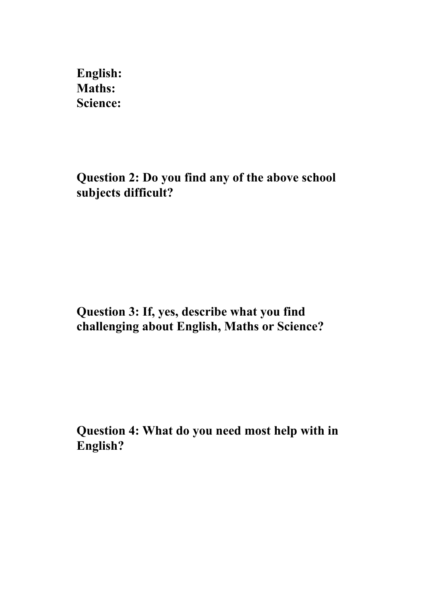**English: Maths: Science:** 

**Question 2: Do you find any of the above school subjects difficult?** 

**Question 3: If, yes, describe what you find challenging about English, Maths or Science?** 

**Question 4: What do you need most help with in English?**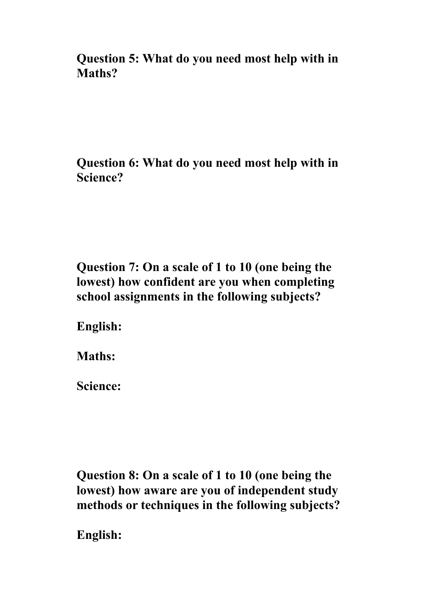**Question 5: What do you need most help with in Maths?** 

**Question 6: What do you need most help with in Science?** 

**Question 7: On a scale of 1 to 10 (one being the lowest) how confident are you when completing school assignments in the following subjects?** 

**English:** 

**Maths:** 

**Science:** 

**Question 8: On a scale of 1 to 10 (one being the lowest) how aware are you of independent study methods or techniques in the following subjects?** 

**English:**